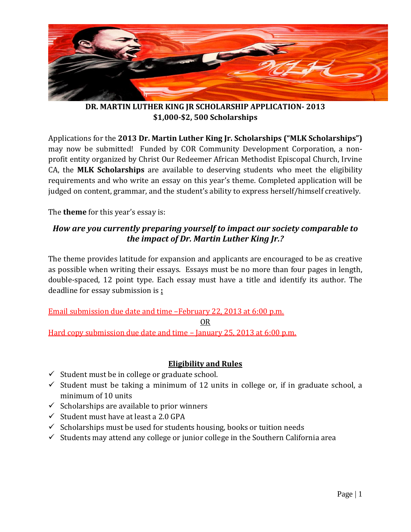

**DR. MARTIN LUTHER KING JR SCHOLARSHIP APPLICATION- 2013 \$1,000-\$2, 500 Scholarships**

Applications for the **2013 Dr. Martin Luther King Jr. Scholarships ("MLK Scholarships")** may now be submitted! Funded by COR Community Development Corporation, a nonprofit entity organized by Christ Our Redeemer African Methodist Episcopal Church, Irvine CA, the **MLK Scholarships** are available to deserving students who meet the eligibility requirements and who write an essay on this year's theme. Completed application will be judged on content, grammar, and the student's ability to express herself/himself creatively.

The **theme** for this year's essay is:

# *How are you currently preparing yourself to impact our society comparable to the impact of Dr. Martin Luther King Jr.?*

The theme provides latitude for expansion and applicants are encouraged to be as creative as possible when writing their essays. Essays must be no more than four pages in length, double-spaced, 12 point type. Each essay must have a title and identify its author. The deadline for essay submission is **:**

Email submission due date and time –February 22, 2013 at 6:00 p.m.

OR

Hard copy submission due date and time – January 25, 2013 at 6:00 p.m.

# **Eligibility and Rules**

- $\checkmark$  Student must be in college or graduate school.
- $\checkmark$  Student must be taking a minimum of 12 units in college or, if in graduate school, a minimum of 10 units
- $\checkmark$  Scholarships are available to prior winners
- $\checkmark$  Student must have at least a 2.0 GPA
- $\checkmark$  Scholarships must be used for students housing, books or tuition needs
- $\checkmark$  Students may attend any college or junior college in the Southern California area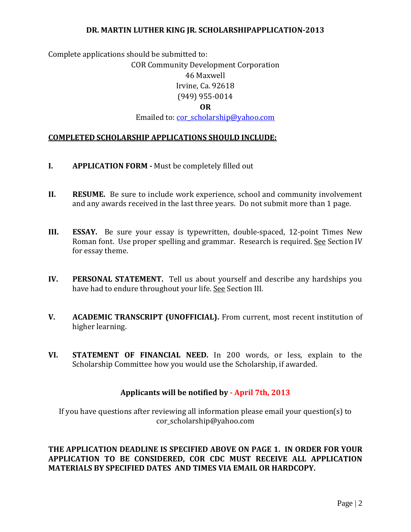Complete applications should be submitted to:

### COR Community Development Corporation

### 46 Maxwell

## Irvine, Ca. 92618

## (949) 955-0014

## **OR**

Emailed to: [cor\\_scholarship@yahoo.com](mailto:cor_scholarship@yahoo.com)

## **COMPLETED SCHOLARSHIP APPLICATIONS SHOULD INCLUDE:**

- **I. APPLICATION FORM -** Must be completely filled out
- **II. RESUME.** Be sure to include work experience, school and community involvement and any awards received in the last three years. Do not submit more than 1 page.
- **III. ESSAY.** Be sure your essay is typewritten, double-spaced, 12-point Times New Roman font. Use proper spelling and grammar. Research is required. See Section IV for essay theme.
- **IV. PERSONAL STATEMENT.** Tell us about yourself and describe any hardships you have had to endure throughout your life. See Section III.
- **V. ACADEMIC TRANSCRIPT (UNOFFICIAL).** From current, most recent institution of higher learning.
- **VI. STATEMENT OF FINANCIAL NEED.** In 200 words, or less, explain to the Scholarship Committee how you would use the Scholarship, if awarded.

## **Applicants will be notified by - April 7th, 2013**

If you have questions after reviewing all information please email your question(s) to cor scholarship@yahoo.com

**THE APPLICATION DEADLINE IS SPECIFIED ABOVE ON PAGE 1. IN ORDER FOR YOUR APPLICATION TO BE CONSIDERED, COR CDC MUST RECEIVE ALL APPLICATION MATERIALS BY SPECIFIED DATES AND TIMES VIA EMAIL OR HARDCOPY.**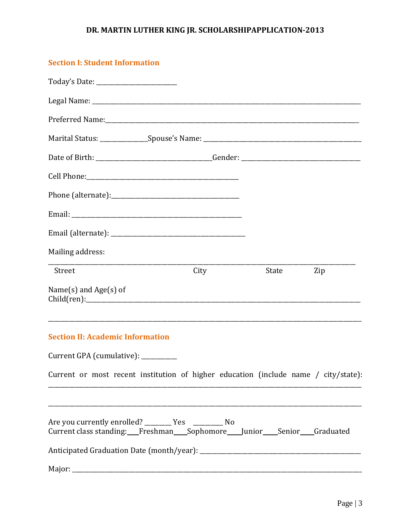## **Section I: Student Information**

| Mailing address:                                                                                                                      |      |       |     |
|---------------------------------------------------------------------------------------------------------------------------------------|------|-------|-----|
| Street                                                                                                                                | City | State | Zip |
| Name $(s)$ and Age $(s)$ of                                                                                                           |      |       |     |
| <b>Section II: Academic Information</b>                                                                                               |      |       |     |
| Current GPA (cumulative): ________                                                                                                    |      |       |     |
| Current or most recent institution of higher education (include name / city/state):                                                   |      |       |     |
| Are you currently enrolled? __________ Yes _________________ No<br>Current class standing: Freshman Sophomore Junior Senior Graduated |      |       |     |
|                                                                                                                                       |      |       |     |
| Major:                                                                                                                                |      |       |     |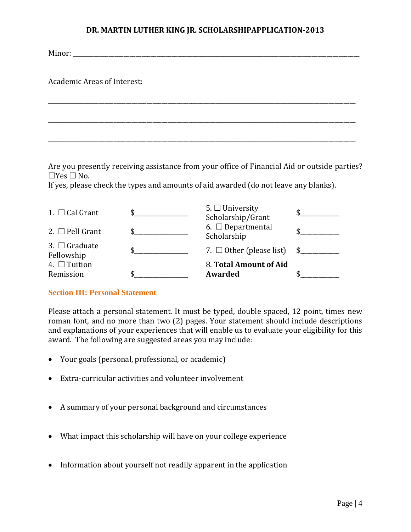\_\_\_\_\_\_\_\_\_\_\_\_\_\_\_\_\_\_\_\_\_\_\_\_\_\_\_\_\_\_\_\_\_\_\_\_\_\_\_\_\_\_\_\_\_\_\_\_\_\_\_\_\_\_\_\_\_\_\_\_\_\_\_\_\_\_\_\_\_\_\_\_\_\_\_\_\_\_\_\_\_\_\_\_\_\_\_\_\_\_\_\_\_\_\_\_\_\_\_\_\_\_\_

\_\_\_\_\_\_\_\_\_\_\_\_\_\_\_\_\_\_\_\_\_\_\_\_\_\_\_\_\_\_\_\_\_\_\_\_\_\_\_\_\_\_\_\_\_\_\_\_\_\_\_\_\_\_\_\_\_\_\_\_\_\_\_\_\_\_\_\_\_\_\_\_\_\_\_\_\_\_\_\_\_\_\_\_\_\_\_\_\_\_\_\_\_\_\_\_\_\_\_\_\_\_\_

\_\_\_\_\_\_\_\_\_\_\_\_\_\_\_\_\_\_\_\_\_\_\_\_\_\_\_\_\_\_\_\_\_\_\_\_\_\_\_\_\_\_\_\_\_\_\_\_\_\_\_\_\_\_\_\_\_\_\_\_\_\_\_\_\_\_\_\_\_\_\_\_\_\_\_\_\_\_\_\_\_\_\_\_\_\_\_\_\_\_\_\_\_\_\_\_\_\_\_\_\_\_\_

Minor:

Academic Areas of Interest:

Are you presently receiving assistance from your office of Financial Aid or outside parties?  $\Box$ Yes  $\Box$  No.

If yes, please check the types and amounts of aid awarded (do not leave any blanks).

| 4. $\Box$ Tuition<br>Remission   | 8. Total Amount of Aid<br><b>Awarded</b>  |              |
|----------------------------------|-------------------------------------------|--------------|
| 3. $\Box$ Graduate<br>Fellowship | 7. $\Box$ Other (please list)             | $\mathbb{S}$ |
| 2. $\Box$ Pell Grant             | 6. $\Box$ Departmental<br>Scholarship     |              |
| 1. $\Box$ Cal Grant              | 5. $\Box$ University<br>Scholarship/Grant |              |

### **Section III: Personal Statement**

Please attach a personal statement. It must be typed, double spaced, 12 point, times new roman font, and no more than two (2) pages. Your statement should include descriptions and explanations of your experiences that will enable us to evaluate your eligibility for this award. The following are suggested areas you may include:

- Your goals (personal, professional, or academic)
- Extra-curricular activities and volunteer involvement
- A summary of your personal background and circumstances
- What impact this scholarship will have on your college experience
- Information about yourself not readily apparent in the application